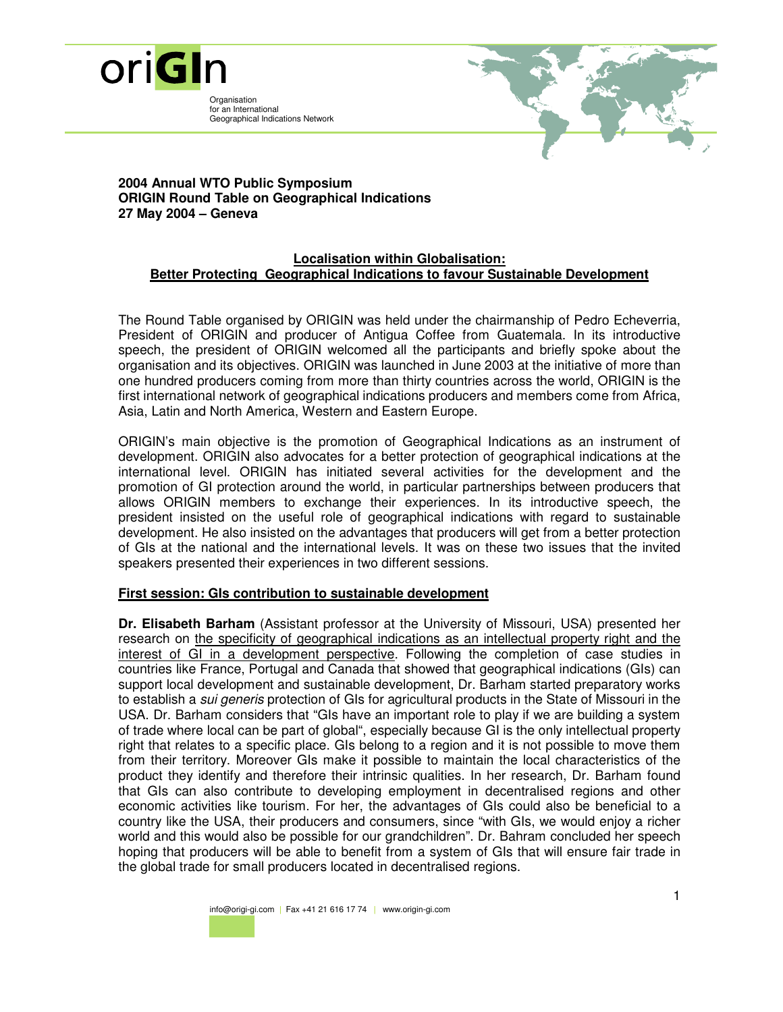

Organisation for an International Geographical Indications Network



## **2004 Annual WTO Public Symposium ORIGIN Round Table on Geographical Indications 27 May 2004 – Geneva**

## **Localisation within Globalisation: Better Protecting Geographical Indications to favour Sustainable Development**

The Round Table organised by ORIGIN was held under the chairmanship of Pedro Echeverria, President of ORIGIN and producer of Antigua Coffee from Guatemala. In its introductive speech, the president of ORIGIN welcomed all the participants and briefly spoke about the organisation and its objectives. ORIGIN was launched in June 2003 at the initiative of more than one hundred producers coming from more than thirty countries across the world, ORIGIN is the first international network of geographical indications producers and members come from Africa, Asia, Latin and North America, Western and Eastern Europe.

ORIGIN's main objective is the promotion of Geographical Indications as an instrument of development. ORIGIN also advocates for a better protection of geographical indications at the international level. ORIGIN has initiated several activities for the development and the promotion of GI protection around the world, in particular partnerships between producers that allows ORIGIN members to exchange their experiences. In its introductive speech, the president insisted on the useful role of geographical indications with regard to sustainable development. He also insisted on the advantages that producers will get from a better protection of GIs at the national and the international levels. It was on these two issues that the invited speakers presented their experiences in two different sessions.

## **First session: GIs contribution to sustainable development**

**Dr. Elisabeth Barham** (Assistant professor at the University of Missouri, USA) presented her research on the specificity of geographical indications as an intellectual property right and the interest of GI in a development perspective. Following the completion of case studies in countries like France, Portugal and Canada that showed that geographical indications (GIs) can support local development and sustainable development, Dr. Barham started preparatory works to establish a *sui generis* protection of GIs for agricultural products in the State of Missouri in the USA. Dr. Barham considers that "GIs have an important role to play if we are building a system of trade where local can be part of global", especially because GI is the only intellectual property right that relates to a specific place. GIs belong to a region and it is not possible to move them from their territory. Moreover GIs make it possible to maintain the local characteristics of the product they identify and therefore their intrinsic qualities. In her research, Dr. Barham found that GIs can also contribute to developing employment in decentralised regions and other economic activities like tourism. For her, the advantages of GIs could also be beneficial to a country like the USA, their producers and consumers, since "with GIs, we would enjoy a richer world and this would also be possible for our grandchildren". Dr. Bahram concluded her speech hoping that producers will be able to benefit from a system of GIs that will ensure fair trade in the global trade for small producers located in decentralised regions.

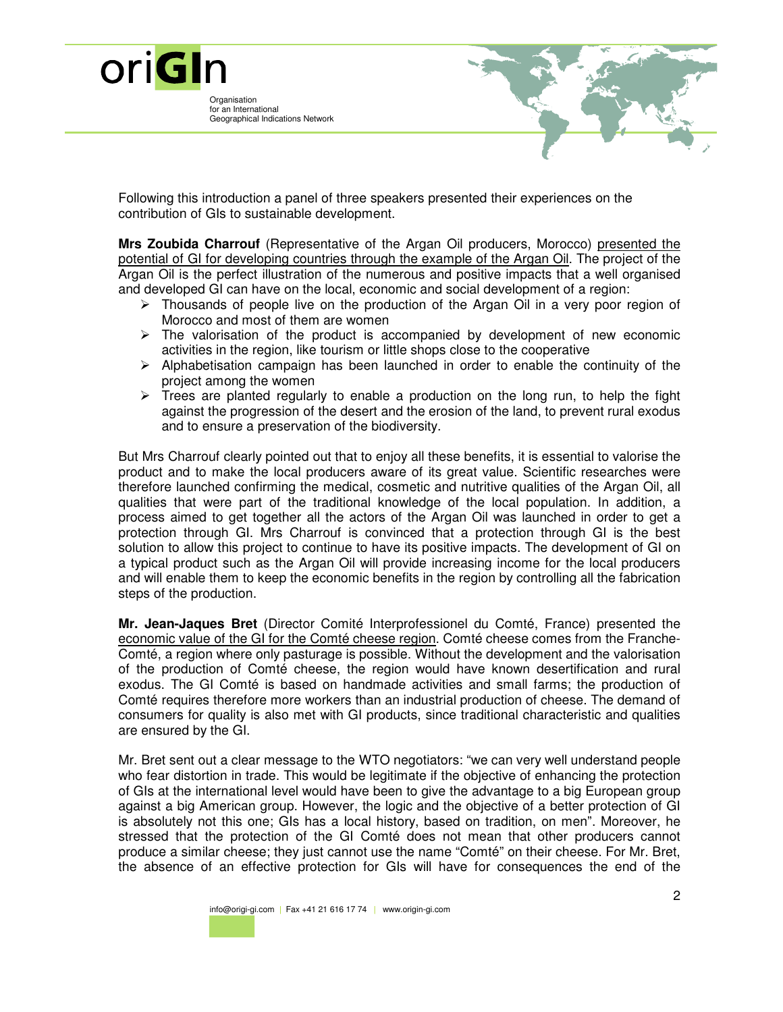

Following this introduction a panel of three speakers presented their experiences on the contribution of GIs to sustainable development.

**Mrs Zoubida Charrouf** (Representative of the Argan Oil producers, Morocco) presented the potential of GI for developing countries through the example of the Argan Oil. The project of the Argan Oil is the perfect illustration of the numerous and positive impacts that a well organised and developed GI can have on the local, economic and social development of a region:

- $\triangleright$  Thousands of people live on the production of the Argan Oil in a very poor region of Morocco and most of them are women
- $\triangleright$  The valorisation of the product is accompanied by development of new economic activities in the region, like tourism or little shops close to the cooperative
- $\triangleright$  Alphabetisation campaign has been launched in order to enable the continuity of the project among the women
- $\triangleright$  Trees are planted regularly to enable a production on the long run, to help the fight against the progression of the desert and the erosion of the land, to prevent rural exodus and to ensure a preservation of the biodiversity.

But Mrs Charrouf clearly pointed out that to enjoy all these benefits, it is essential to valorise the product and to make the local producers aware of its great value. Scientific researches were therefore launched confirming the medical, cosmetic and nutritive qualities of the Argan Oil, all qualities that were part of the traditional knowledge of the local population. In addition, a process aimed to get together all the actors of the Argan Oil was launched in order to get a protection through GI. Mrs Charrouf is convinced that a protection through GI is the best solution to allow this project to continue to have its positive impacts. The development of GI on a typical product such as the Argan Oil will provide increasing income for the local producers and will enable them to keep the economic benefits in the region by controlling all the fabrication steps of the production.

**Mr. Jean-Jaques Bret** (Director Comité Interprofessionel du Comté, France) presented the economic value of the GI for the Comté cheese region. Comté cheese comes from the Franche-Comté, a region where only pasturage is possible. Without the development and the valorisation of the production of Comté cheese, the region would have known desertification and rural exodus. The GI Comté is based on handmade activities and small farms; the production of Comté requires therefore more workers than an industrial production of cheese. The demand of consumers for quality is also met with GI products, since traditional characteristic and qualities are ensured by the GI.

Mr. Bret sent out a clear message to the WTO negotiators: "we can very well understand people who fear distortion in trade. This would be legitimate if the objective of enhancing the protection of GIs at the international level would have been to give the advantage to a big European group against a big American group. However, the logic and the objective of a better protection of GI is absolutely not this one; GIs has a local history, based on tradition, on men". Moreover, he stressed that the protection of the GI Comté does not mean that other producers cannot produce a similar cheese; they just cannot use the name "Comté" on their cheese. For Mr. Bret, the absence of an effective protection for GIs will have for consequences the end of the

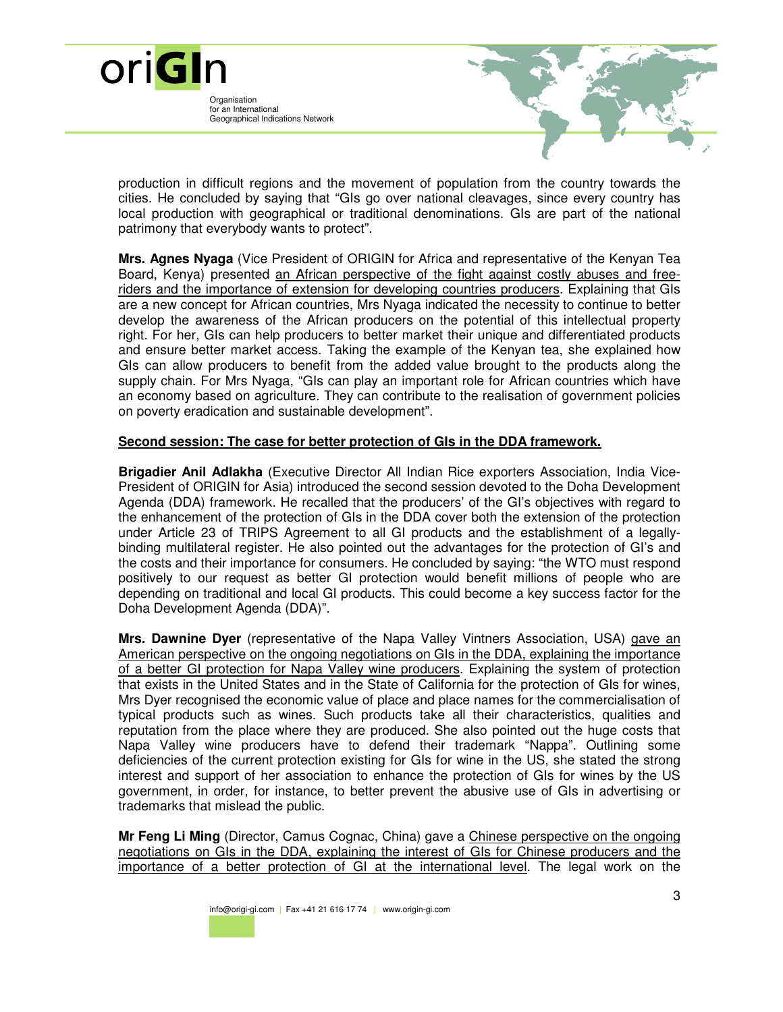Organisation for an International Geographical Indications Network

oriGIn



production in difficult regions and the movement of population from the country towards the cities. He concluded by saying that "GIs go over national cleavages, since every country has local production with geographical or traditional denominations. GIs are part of the national patrimony that everybody wants to protect".

**Mrs. Agnes Nyaga** (Vice President of ORIGIN for Africa and representative of the Kenyan Tea Board, Kenya) presented an African perspective of the fight against costly abuses and freeriders and the importance of extension for developing countries producers. Explaining that GIs are a new concept for African countries, Mrs Nyaga indicated the necessity to continue to better develop the awareness of the African producers on the potential of this intellectual property right. For her, GIs can help producers to better market their unique and differentiated products and ensure better market access. Taking the example of the Kenyan tea, she explained how GIs can allow producers to benefit from the added value brought to the products along the supply chain. For Mrs Nyaga, "GIs can play an important role for African countries which have an economy based on agriculture. They can contribute to the realisation of government policies on poverty eradication and sustainable development".

## **Second session: The case for better protection of GIs in the DDA framework.**

**Brigadier Anil Adlakha** (Executive Director All Indian Rice exporters Association, India Vice-President of ORIGIN for Asia) introduced the second session devoted to the Doha Development Agenda (DDA) framework. He recalled that the producers' of the GI's objectives with regard to the enhancement of the protection of GIs in the DDA cover both the extension of the protection under Article 23 of TRIPS Agreement to all GI products and the establishment of a legallybinding multilateral register. He also pointed out the advantages for the protection of GI's and the costs and their importance for consumers. He concluded by saying: "the WTO must respond positively to our request as better GI protection would benefit millions of people who are depending on traditional and local GI products. This could become a key success factor for the Doha Development Agenda (DDA)".

**Mrs. Dawnine Dyer** (representative of the Napa Valley Vintners Association, USA) gave an American perspective on the ongoing negotiations on GIs in the DDA, explaining the importance of a better GI protection for Napa Valley wine producers. Explaining the system of protection that exists in the United States and in the State of California for the protection of GIs for wines, Mrs Dyer recognised the economic value of place and place names for the commercialisation of typical products such as wines. Such products take all their characteristics, qualities and reputation from the place where they are produced. She also pointed out the huge costs that Napa Valley wine producers have to defend their trademark "Nappa". Outlining some deficiencies of the current protection existing for GIs for wine in the US, she stated the strong interest and support of her association to enhance the protection of GIs for wines by the US government, in order, for instance, to better prevent the abusive use of GIs in advertising or trademarks that mislead the public.

**Mr Feng Li Ming** (Director, Camus Cognac, China) gave a Chinese perspective on the ongoing negotiations on GIs in the DDA, explaining the interest of GIs for Chinese producers and the importance of a better protection of GI at the international level. The legal work on the